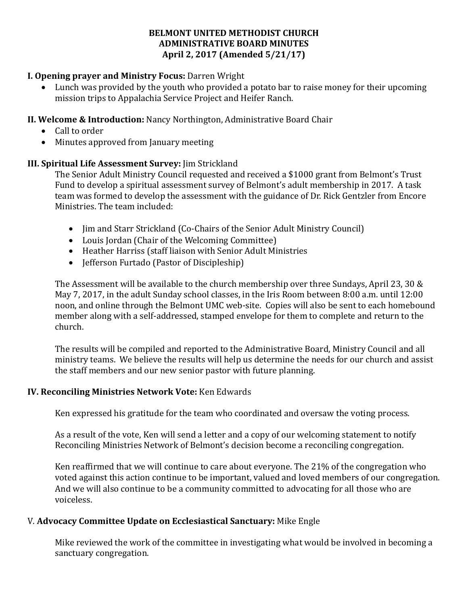#### **BELMONT UNITED METHODIST CHURCH ADMINISTRATIVE BOARD MINUTES April 2, 2017 (Amended 5/21/17)**

# **I. Opening prayer and Ministry Focus:** Darren Wright

• Lunch was provided by the youth who provided a potato bar to raise money for their upcoming mission trips to Appalachia Service Project and Heifer Ranch.

### **II. Welcome & Introduction:** Nancy Northington, Administrative Board Chair

- Call to order
- Minutes approved from January meeting

#### **III. Spiritual Life Assessment Survey:** Jim Strickland

The Senior Adult Ministry Council requested and received a \$1000 grant from Belmont's Trust Fund to develop a spiritual assessment survey of Belmont's adult membership in 2017. A task team was formed to develop the assessment with the guidance of Dr. Rick Gentzler from Encore Ministries. The team included:

- Jim and Starr Strickland (Co-Chairs of the Senior Adult Ministry Council)
- Louis Jordan (Chair of the Welcoming Committee)
- Heather Harriss (staff liaison with Senior Adult Ministries
- Jefferson Furtado (Pastor of Discipleship)

The Assessment will be available to the church membership over three Sundays, April 23, 30  $\&$ May 7, 2017, in the adult Sunday school classes, in the Iris Room between 8:00 a.m. until 12:00 noon, and online through the Belmont UMC web-site. Copies will also be sent to each homebound member along with a self-addressed, stamped envelope for them to complete and return to the church.

The results will be compiled and reported to the Administrative Board, Ministry Council and all ministry teams. We believe the results will help us determine the needs for our church and assist the staff members and our new senior pastor with future planning.

# **IV. Reconciling Ministries Network Vote:** Ken Edwards

Ken expressed his gratitude for the team who coordinated and oversaw the voting process.

As a result of the vote, Ken will send a letter and a copy of our welcoming statement to notify Reconciling Ministries Network of Belmont's decision become a reconciling congregation.

Ken reaffirmed that we will continue to care about everyone. The 21% of the congregation who voted against this action continue to be important, valued and loved members of our congregation. And we will also continue to be a community committed to advocating for all those who are voiceless.

# V. Advocacy Committee Update on Ecclesiastical Sanctuary: Mike Engle

Mike reviewed the work of the committee in investigating what would be involved in becoming a sanctuary congregation.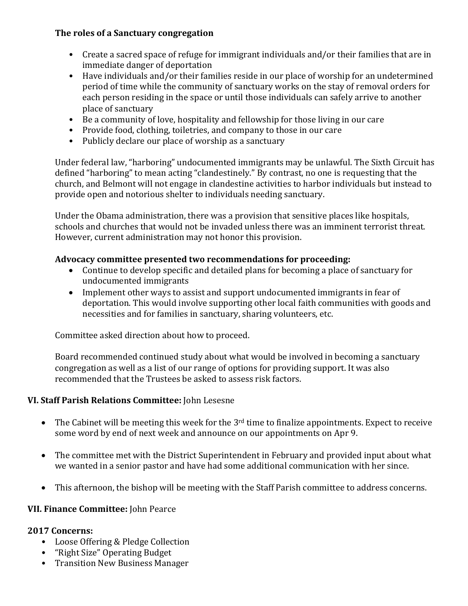# **The roles of a Sanctuary congregation**

- Create a sacred space of refuge for immigrant individuals and/or their families that are in immediate danger of deportation
- Have individuals and/or their families reside in our place of worship for an undetermined period of time while the community of sanctuary works on the stay of removal orders for each person residing in the space or until those individuals can safely arrive to another place of sanctuary
- Be a community of love, hospitality and fellowship for those living in our care
- Provide food, clothing, toiletries, and company to those in our care
- Publicly declare our place of worship as a sanctuary

Under federal law, "harboring" undocumented immigrants may be unlawful. The Sixth Circuit has defined "harboring" to mean acting "clandestinely." By contrast, no one is requesting that the church, and Belmont will not engage in clandestine activities to harbor individuals but instead to provide open and notorious shelter to individuals needing sanctuary.

Under the Obama administration, there was a provision that sensitive places like hospitals, schools and churches that would not be invaded unless there was an imminent terrorist threat. However, current administration may not honor this provision.

# **Advocacy committee presented two recommendations for proceeding:**

- Continue to develop specific and detailed plans for becoming a place of sanctuary for undocumented immigrants
- Implement other ways to assist and support undocumented immigrants in fear of deportation. This would involve supporting other local faith communities with goods and necessities and for families in sanctuary, sharing volunteers, etc.

Committee asked direction about how to proceed.

Board recommended continued study about what would be involved in becoming a sanctuary congregation as well as a list of our range of options for providing support. It was also recommended that the Trustees be asked to assess risk factors.

# **VI. Staff Parish Relations Committee:** John Lesesne

- The Cabinet will be meeting this week for the  $3<sup>rd</sup>$  time to finalize appointments. Expect to receive some word by end of next week and announce on our appointments on Apr 9.
- The committee met with the District Superintendent in February and provided input about what we wanted in a senior pastor and have had some additional communication with her since.
- This afternoon, the bishop will be meeting with the Staff Parish committee to address concerns.

#### **VII. Finance Committee:** John Pearce

#### **2017 Concerns:**

- Loose Offering & Pledge Collection
- "Right Size" Operating Budget
- Transition New Business Manager